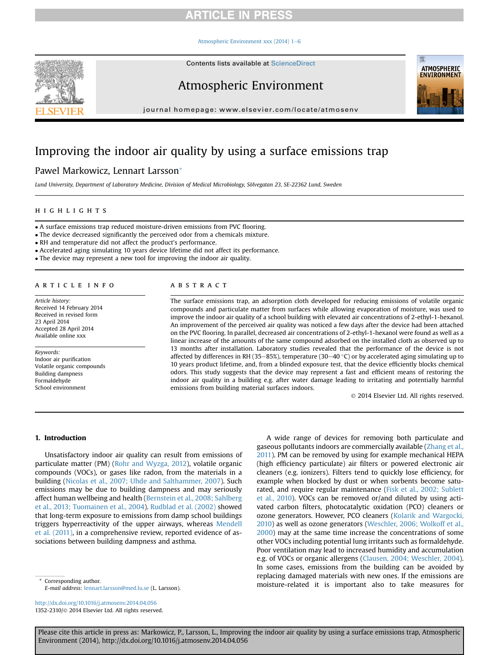### **RTICLE IN PRESS**

#### [Atmospheric Environment xxx \(2014\) 1](http://dx.doi.org/10.1016/j.atmosenv.2014.04.056)-[6](http://dx.doi.org/10.1016/j.atmosenv.2014.04.056)



Contents lists available at ScienceDirect

### Atmospheric Environment



journal homepage: [www.elsevier.com/locate/atmosenv](http://www.elsevier.com/locate/atmosenv)

## Improving the indoor air quality by using a surface emissions trap

### Pawel Markowicz, Lennart Larsson\*

Lund University, Department of Laboratory Medicine, Division of Medical Microbiology, Sölvegatan 23, SE-22362 Lund, Sweden

#### **HIGHLIGHTS** highlights are the control of

A surface emissions trap reduced moisture-driven emissions from PVC flooring.

The device decreased significantly the perceived odor from a chemicals mixture.

RH and temperature did not affect the product's performance.

Accelerated aging simulating 10 years device lifetime did not affect its performance.

The device may represent a new tool for improving the indoor air quality.

Article history: Received 14 February 2014 Received in revised form 23 April 2014 Accepted 28 April 2014 Available online xxx

Keywords: Indoor air purification Volatile organic compounds Building dampness Formaldehyde School environment

The surface emissions trap, an adsorption cloth developed for reducing emissions of volatile organic compounds and particulate matter from surfaces while allowing evaporation of moisture, was used to improve the indoor air quality of a school building with elevated air concentrations of 2-ethyl-1-hexanol. An improvement of the perceived air quality was noticed a few days after the device had been attached on the PVC flooring. In parallel, decreased air concentrations of 2-ethyl-1-hexanol were found as well as a linear increase of the amounts of the same compound adsorbed on the installed cloth as observed up to 13 months after installation. Laboratory studies revealed that the performance of the device is not affected by differences in RH (35-85%), temperature (30-40 °C) or by accelerated aging simulating up to 10 years product lifetime, and, from a blinded exposure test, that the device efficiently blocks chemical odors. This study suggests that the device may represent a fast and efficient means of restoring the indoor air quality in a building e.g. after water damage leading to irritating and potentially harmful emissions from building material surfaces indoors.

2014 Elsevier Ltd. All rights reserved.

#### 1. Introduction

Unsatisfactory indoor air quality can result from emissions of particulate matter (PM) [\(Rohr and Wyzga, 2012\)](#page-5-0), volatile organic compounds (VOCs), or gases like radon, from the materials in a building ([Nicolas et al., 2007; Uhde and Salthammer, 2007\)](#page-5-0). Such emissions may be due to building dampness and may seriously affect human wellbeing and health [\(Bernstein et al., 2008; Sahlberg](#page-4-0) [et al., 2013; Tuomainen et al., 2004](#page-4-0)). [Rudblad et al. \(2002\)](#page-5-0) showed that long-term exposure to emissions from damp school buildings triggers hyperreactivity of the upper airways, whereas [Mendell](#page-5-0) [et al. \(2011\),](#page-5-0) in a comprehensive review, reported evidence of associations between building dampness and asthma.

A wide range of devices for removing both particulate and gaseous pollutants indoors are commercially available ([Zhang et al.,](#page-5-0) [2011](#page-5-0)). PM can be removed by using for example mechanical HEPA (high efficiency particulate) air filters or powered electronic air cleaners (e.g. ionizers). Filters tend to quickly lose efficiency, for example when blocked by dust or when sorbents become saturated, and require regular maintenance ([Fisk et al., 2002; Sublett](#page-4-0) [et al., 2010](#page-4-0)). VOCs can be removed or/and diluted by using activated carbon filters, photocatalytic oxidation (PCO) cleaners or ozone generators. However, PCO cleaners [\(Kolarik and Wargocki,](#page-5-0) [2010\)](#page-5-0) as well as ozone generators ([Weschler, 2006; Wolkoff et al.,](#page-5-0) [2000\)](#page-5-0) may at the same time increase the concentrations of some other VOCs including potential lung irritants such as formaldehyde. Poor ventilation may lead to increased humidity and accumulation e.g. of VOCs or organic allergens [\(Clausen, 2004; Weschler, 2004\)](#page-4-0). In some cases, emissions from the building can be avoided by replacing damaged materials with new ones. If the emissions are Corresponding author.<br>
E mail address: longar larcesp@mod luce (L Larcespo

E-mail address: [lennart.larsson@med.lu.se](mailto:lennart.larsson@med.lu.se) (L. Larsson).

<http://dx.doi.org/10.1016/j.atmosenv.2014.04.056> 1352-2310/© 2014 Elsevier Ltd. All rights reserved.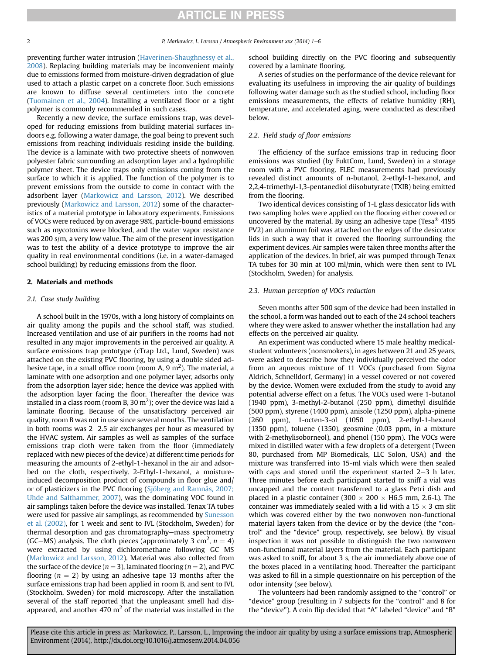## **ARTICLE IN PRESS**

preventing further water intrusion ([Haverinen-Shaughnessy et al.,](#page-4-0) [2008](#page-4-0)). Replacing building materials may be inconvenient mainly due to emissions formed from moisture-driven degradation of glue used to attach a plastic carpet on a concrete floor. Such emissions are known to diffuse several centimeters into the concrete ([Tuomainen et al., 2004](#page-5-0)). Installing a ventilated floor or a tight polymer is commonly recommended in such cases.

Recently a new device, the surface emissions trap, was developed for reducing emissions from building material surfaces indoors e.g. following a water damage, the goal being to prevent such emissions from reaching individuals residing inside the building. The device is a laminate with two protective sheets of nonwoven polyester fabric surrounding an adsorption layer and a hydrophilic polymer sheet. The device traps only emissions coming from the surface to which it is applied. The function of the polymer is to prevent emissions from the outside to come in contact with the adsorbent layer ([Markowicz and Larsson, 2012](#page-5-0)). We described previously [\(Markowicz and Larsson, 2012](#page-5-0)) some of the characteristics of a material prototype in laboratory experiments. Emissions of VOCs were reduced by on average 98%, particle-bound emissions such as mycotoxins were blocked, and the water vapor resistance was 200 s/m, a very low value. The aim of the present investigation was to test the ability of a device prototype to improve the air quality in real environmental conditions (i.e. in a water-damaged school building) by reducing emissions from the floor.

### 2. Materials and methods

#### 2.1. Case study building

A school built in the 1970s, with a long history of complaints on air quality among the pupils and the school staff, was studied. Increased ventilation and use of air purifiers in the rooms had not resulted in any major improvements in the perceived air quality. A surface emissions trap prototype (cTrap Ltd., Lund, Sweden) was attached on the existing PVC flooring, by using a double sided adhesive tape, in a small office room (room A, 9 m<sup>2</sup>). The material, a laminate with one adsorption and one polymer layer, adsorbs only from the adsorption layer side; hence the device was applied with the adsorption layer facing the floor. Thereafter the device was installed in a class room (room B, 30 m<sup>2</sup>); over the device was laid a laminate flooring. Because of the unsatisfactory perceived air quality, room B was not in use since several months. The ventilation in both rooms was  $2-2.5$  air exchanges per hour as measured by the HVAC system. Air samples as well as samples of the surface emissions trap cloth were taken from the floor (immediately replaced with new pieces of the device) at different time periods for measuring the amounts of 2-ethyl-1-hexanol in the air and adsorbed on the cloth, respectively. 2-Ethyl-1-hexanol, a moistureinduced decomposition product of compounds in floor glue and/ or of plasticizers in the PVC flooring ([Sjöberg and Ramnäs, 2007;](#page-5-0) [Uhde and Salthammer, 2007](#page-5-0)), was the dominating VOC found in air samplings taken before the device was installed. Tenax TA tubes were used for passive air samplings, as recommended by [Sunesson](#page-5-0) [et al. \(2002\),](#page-5-0) for 1 week and sent to IVL (Stockholm, Sweden) for thermal desorption and gas chromatography–mass spectrometry (GC–MS) analysis. The cloth pieces (approximately 3 cm<sup>2</sup>,  $n = 4$ ) were extracted by using dichloromethane following GC-MS ([Markowicz and Larsson, 2012](#page-5-0)). Material was also collected from the surface of the device ( $n = 3$ ), laminated flooring ( $n = 2$ ), and PVC flooring ( $n = 2$ ) by using an adhesive tape 13 months after the surface emissions trap had been applied in room B, and sent to IVL (Stockholm, Sweden) for mold microscopy. After the installation several of the staff reported that the unpleasant smell had disappeared, and another 470  $m<sup>2</sup>$  of the material was installed in the school building directly on the PVC flooring and subsequently covered by a laminate flooring.

A series of studies on the performance of the device relevant for evaluating its usefulness in improving the air quality of buildings following water damage such as the studied school, including floor emissions measurements, the effects of relative humidity (RH), temperature, and accelerated aging, were conducted as described below.

#### 2.2. Field study of floor emissions

The efficiency of the surface emissions trap in reducing floor emissions was studied (by FuktCom, Lund, Sweden) in a storage room with a PVC flooring. FLEC measurements had previously revealed distinct amounts of n-butanol, 2-ethyl-1-hexanol, and 2,2,4-trimethyl-1,3-pentanediol diisobutyrate (TXIB) being emitted from the flooring.

Two identical devices consisting of 1-L glass desiccator lids with two sampling holes were applied on the flooring either covered or uncovered by the material. By using an adhesive tape (Tesa $\degree$  4195 PV2) an aluminum foil was attached on the edges of the desiccator lids in such a way that it covered the flooring surrounding the experiment devices. Air samples were taken three months after the application of the devices. In brief, air was pumped through Tenax TA tubes for 30 min at 100 ml/min, which were then sent to IVL (Stockholm, Sweden) for analysis.

#### 2.3. Human perception of VOCs reduction

Seven months after 500 sqm of the device had been installed in the school, a form was handed out to each of the 24 school teachers where they were asked to answer whether the installation had any effects on the perceived air quality.

An experiment was conducted where 15 male healthy medicalstudent volunteers (nonsmokers), in ages between 21 and 25 years, were asked to describe how they individually perceived the odor from an aqueous mixture of 11 VOCs (purchased from Sigma Aldrich, Schnelldorf, Germany) in a vessel covered or not covered by the device. Women were excluded from the study to avoid any potential adverse effect on a fetus. The VOCs used were 1-butanol (1940 ppm), 3-methyl-2-butanol (250 ppm), dimethyl disulfide (500 ppm), styrene (1400 ppm), anisole (1250 ppm), alpha-pinene (260 ppm), 1-octen-3-ol (1050 ppm), 2-ethyl-1-hexanol (1350 ppm), toluene (1350), geosmine (0.03 ppm, in a mixture with 2-methylisoborneol), and phenol (150 ppm). The VOCs were mixed in distilled water with a few droplets of a detergent (Tween 80, purchased from MP Biomedicals, LLC Solon, USA) and the mixture was transferred into 15-ml vials which were then sealed with caps and stored until the experiment started  $2-3$  h later. Three minutes before each participant started to sniff a vial was uncapped and the content transferred to a glass Petri dish and placed in a plastic container (300  $\times$  200  $\times$  H6.5 mm, 2.6-L). The container was immediately sealed with a lid with a 15  $\times$  3 cm slit which was covered either by the two nonwoven non-functional material layers taken from the device or by the device (the "control" and the "device" group, respectively, see below). By visual inspection it was not possible to distinguish the two nonwoven non-functional material layers from the material. Each participant was asked to sniff, for about 3 s, the air immediately above one of the boxes placed in a ventilating hood. Thereafter the participant was asked to fill in a simple questionnaire on his perception of the odor intensity (see below).

The volunteers had been randomly assigned to the "control" or "device" group (resulting in 7 subjects for the "control" and 8 for the "device"). A coin flip decided that "A" labeled "device" and "B"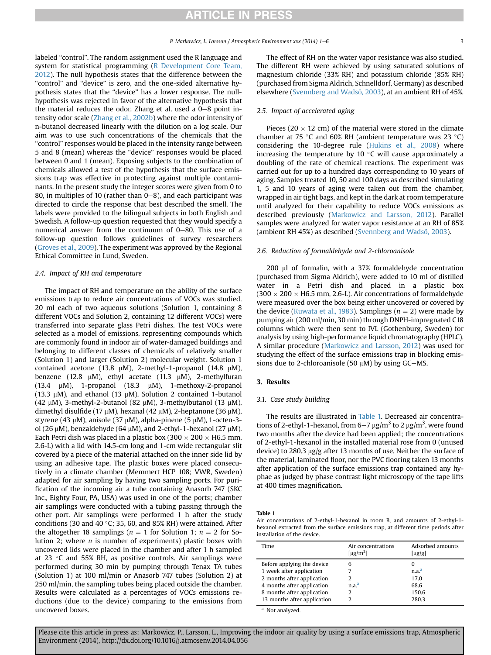labeled "control". The random assignment used the R language and system for statistical programming [\(R Development Core Team,](#page-5-0) [2012\)](#page-5-0). The null hypothesis states that the difference between the "control" and "device" is zero, and the one-sided alternative hypothesis states that the "device" has a lower response. The nullhypothesis was rejected in favor of the alternative hypothesis that the material reduces the odor. Zhang et al. used a  $0-8$  point intensity odor scale ([Zhang et al., 2002b](#page-5-0)) where the odor intensity of n-butanol decreased linearly with the dilution on a log scale. Our aim was to use such concentrations of the chemicals that the "control" responses would be placed in the intensity range between 5 and 8 (mean) whereas the "device" responses would be placed between 0 and 1 (mean). Exposing subjects to the combination of chemicals allowed a test of the hypothesis that the surface emissions trap was effective in protecting against multiple contaminants. In the present study the integer scores were given from 0 to 80, in multiples of 10 (rather than  $0-8$ ), and each participant was directed to circle the response that best described the smell. The labels were provided to the bilingual subjects in both English and Swedish. A follow-up question requested that they would specify a numerical answer from the continuum of  $0-80$ . This use of a follow-up question follows guidelines of survey researchers ([Groves et al., 2009](#page-4-0)). The experiment was approved by the Regional Ethical Committee in Lund, Sweden.

#### 2.4. Impact of RH and temperature

The impact of RH and temperature on the ability of the surface emissions trap to reduce air concentrations of VOCs was studied. 20 ml each of two aqueous solutions (Solution 1, containing 8 different VOCs and Solution 2, containing 12 different VOCs) were transferred into separate glass Petri dishes. The test VOCs were selected as a model of emissions, representing compounds which are commonly found in indoor air of water-damaged buildings and belonging to different classes of chemicals of relatively smaller (Solution 1) and larger (Solution 2) molecular weight. Solution 1 contained acetone (13.8  $\mu$ M), 2-methyl-1-propanol (14.8  $\mu$ M), benzene (12.8  $\mu$ M), ethyl acetate (11.3  $\mu$ M), 2-methylfuran (13.4  $\mu$ M), 1-propanol (18.3  $\mu$ M), 1-methoxy-2-propanol (13.3  $\mu$ M), and ethanol (13  $\mu$ M). Solution 2 contained 1-butanol (42  $\mu$ M), 3-methyl-2-butanol (82  $\mu$ M), 3-methylbutanol (13  $\mu$ M), dimethyl disulfide (17  $\mu$ M), hexanal (42  $\mu$ M), 2-heptanone (36  $\mu$ M), styrene (43  $\mu$ M), anisole (37  $\mu$ M), alpha-pinene (5  $\mu$ M), 1-octen-3ol (26  $\mu$ M), benzaldehyde (64  $\mu$ M), and 2-ethyl-1-hexanol (27  $\mu$ M). Each Petri dish was placed in a plastic box (300  $\times$  200  $\times$  H6.5 mm, 2.6-L) with a lid with 14.5-cm long and 1-cm wide rectangular slit covered by a piece of the material attached on the inner side lid by using an adhesive tape. The plastic boxes were placed consecutively in a climate chamber (Memmert HCP 108; VWR, Sweden) adapted for air sampling by having two sampling ports. For purification of the incoming air a tube containing Anasorb 747 (SKC Inc., Eighty Four, PA, USA) was used in one of the ports; chamber air samplings were conducted with a tubing passing through the other port. Air samplings were performed 1 h after the study conditions (30 and 40 $\degree$ C; 35, 60, and 85% RH) were attained. After the altogether 18 samplings ( $n = 1$  for Solution 1;  $n = 2$  for Solution 2; where n is number of experiments) plastic boxes with uncovered lids were placed in the chamber and after 1 h sampled at 23  $\degree$ C and 55% RH, as positive controls. Air samplings were performed during 30 min by pumping through Tenax TA tubes (Solution 1) at 100 ml/min or Anasorb 747 tubes (Solution 2) at 250 ml/min, the sampling tubes being placed outside the chamber. Results were calculated as a percentages of VOCs emissions reductions (due to the device) comparing to the emissions from uncovered boxes.

The effect of RH on the water vapor resistance was also studied. The different RH were achieved by using saturated solutions of magnesium chloride (33% RH) and potassium chloride (85% RH) (purchased from Sigma Aldrich, Schnelldorf, Germany) as described elsewhere [\(Svennberg and Wadsö, 2003](#page-5-0)), at an ambient RH of 45%.

#### 2.5. Impact of accelerated aging

Pieces (20  $\times$  12 cm) of the material were stored in the climate chamber at 75 °C and 60% RH (ambient temperature was 23 °C) considering the 10-degree rule ([Hukins et al., 2008\)](#page-4-0) where increasing the temperature by 10 $\degree$ C will cause approximately a doubling of the rate of chemical reactions. The experiment was carried out for up to a hundred days corresponding to 10 years of aging. Samples treated 10, 50 and 100 days as described simulating 1, 5 and 10 years of aging were taken out from the chamber, wrapped in air tight bags, and kept in the dark at room temperature until analyzed for their capability to reduce VOCs emissions as described previously ([Markowicz and Larsson, 2012](#page-5-0)). Parallel samples were analyzed for water vapor resistance at an RH of 85% (ambient RH 45%) as described [\(Svennberg and Wadsö, 2003\)](#page-5-0).

#### 2.6. Reduction of formaldehyde and 2-chloroanisole

 $200$   $\mu$ l of formalin, with a 37% formaldehyde concentration (purchased from Sigma Aldrich), were added to 10 ml of distilled water in a Petri dish and placed in a plastic box  $(300 \times 200 \times H6.5$  mm, 2.6-L). Air concentrations of formaldehyde were measured over the box being either uncovered or covered by the device ([Kuwata et al., 1983\)](#page-5-0). Samplings ( $n = 2$ ) were made by pumping air (200 ml/min, 30 min) through DNPH-impregnated C18 columns which were then sent to IVL (Gothenburg, Sweden) for analysis by using high-performance liquid chromatography (HPLC). A similar procedure ([Markowicz and Larsson, 2012](#page-5-0)) was used for studying the effect of the surface emissions trap in blocking emissions due to 2-chloroanisole (50  $\mu$ M) by using GC-MS.

#### 3. Results

#### 3.1. Case study building

The results are illustrated in Table 1. Decreased air concentrations of 2-ethyl-1-hexanol, from 6–7  $\mu{\rm g/m^3}$  to 2  $\mu{\rm g/m^3}$ , were found two months after the device had been applied; the concentrations of 2-ethyl-1-hexanol in the installed material rose from 0 (unused device) to 280.3  $\mu$ g/g after 13 months of use. Neither the surface of the material, laminated floor, nor the PVC flooring taken 13 months after application of the surface emissions trap contained any hyphae as judged by phase contrast light microscopy of the tape lifts at 400 times magnification.

Table 1

Air concentrations of 2-ethyl-1-hexanol in room B, and amounts of 2-ethyl-1 hexanol extracted from the surface emissions trap, at different time periods after installation of the device.

| Time                        | Air concentrations<br>[ $\mu$ g/m <sup>3</sup> ] | Adsorbed amounts<br>$\lceil \mu g/g \rceil$ |
|-----------------------------|--------------------------------------------------|---------------------------------------------|
| Before applying the device  | 6                                                | 0                                           |
| 1 week after application    |                                                  | n.a. <sup>a</sup>                           |
| 2 months after application  | 2                                                | 17.0                                        |
| 4 months after application  | n.a. <sup>a</sup>                                | 68.6                                        |
| 8 months after application  | 2                                                | 150.6                                       |
| 13 months after application | າ                                                | 280.3                                       |

<sup>a</sup> Not analyzed.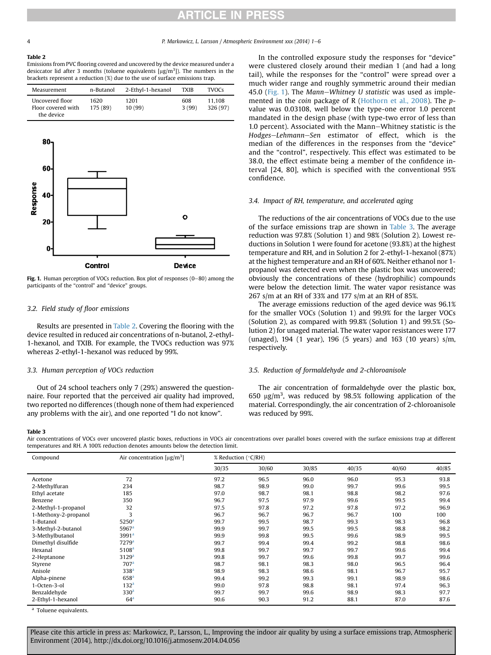# ICLE IN

#### Table 2

Emissions from PVC flooring covered and uncovered by the device measured under a desiccator lid after 3 months (toluene equivalents  $[\mu g/m^3]$ ). The numbers in the brackets represent a reduction (%) due to the use of surface emissions trap.

| Measurement                                         | n-Butanol        | 2-Ethyl-1-hexanol | <b>TXIB</b>  | <b>TVOCs</b>       |
|-----------------------------------------------------|------------------|-------------------|--------------|--------------------|
| Uncovered floor<br>Floor covered with<br>the device | 1620<br>175 (89) | 1201<br>10(99)    | 608<br>3(99) | 11.108<br>326 (97) |



Fig. 1. Human perception of VOCs reduction. Box plot of responses  $(0-80)$  among the participants of the "control" and "device" groups.

#### 3.2. Field study of floor emissions

Results are presented in Table 2. Covering the flooring with the device resulted in reduced air concentrations of n-butanol, 2-ethyl-1-hexanol, and TXIB. For example, the TVOCs reduction was 97% whereas 2-ethyl-1-hexanol was reduced by 99%.

#### 3.3. Human perception of VOCs reduction

Out of 24 school teachers only 7 (29%) answered the questionnaire. Four reported that the perceived air quality had improved, two reported no differences (though none of them had experienced any problems with the air), and one reported "I do not know".

### In the controlled exposure study the responses for "device" were clustered closely around their median 1 (and had a long tail), while the responses for the "control" were spread over a much wider range and roughly symmetric around their median 45.0 (Fig. 1). The Mann-Whitney U statistic was used as implemented in the coin package of R ([Hothorn et al., 2008\)](#page-4-0). The pvalue was 0.03108, well below the type-one error 1.0 percent mandated in the design phase (with type-two error of less than 1.0 percent). Associated with the Mann-Whitney statistic is the Hodges-Lehmann-Sen estimator of effect, which is the median of the differences in the responses from the "device" and the "control", respectively. This effect was estimated to be 38.0, the effect estimate being a member of the confidence interval [24, 80], which is specified with the conventional 95% confidence.

#### 3.4. Impact of RH, temperature, and accelerated aging

The reductions of the air concentrations of VOCs due to the use of the surface emissions trap are shown in Table 3. The average reduction was 97.8% (Solution 1) and 98% (Solution 2). Lowest reductions in Solution 1 were found for acetone (93.8%) at the highest temperature and RH, and in Solution 2 for 2-ethyl-1-hexanol (87%) at the highest temperature and an RH of 60%. Neither ethanol nor 1 propanol was detected even when the plastic box was uncovered; obviously the concentrations of these (hydrophilic) compounds were below the detection limit. The water vapor resistance was 267 s/m at an RH of 33% and 177 s/m at an RH of 85%.

The average emissions reduction of the aged device was 96.1% for the smaller VOCs (Solution 1) and 99.9% for the larger VOCs (Solution 2), as compared with 99.8% (Solution 1) and 99.5% (Solution 2) for unaged material. The water vapor resistances were 177 (unaged), 194 (1 year), 196 (5 years) and 163 (10 years) s/m, respectively.

#### 3.5. Reduction of formaldehyde and 2-chloroanisole

The air concentration of formaldehyde over the plastic box, 650  $\mu$ g/m<sup>3</sup>, was reduced by 98.5% following application of the material. Correspondingly, the air concentration of 2-chloroanisole was reduced by 99%.

#### Table 3

Air concentrations of VOCs over uncovered plastic boxes, reductions in VOCs air concentrations over parallel boxes covered with the surface emissions trap at different temperatures and RH. A 100% reduction denotes amounts below the detection limit.

| Compound             | Air concentration $[\mu g/m^3]$ | % Reduction (°C/RH) |       |       |       |       |       |
|----------------------|---------------------------------|---------------------|-------|-------|-------|-------|-------|
|                      |                                 | 30/35               | 30/60 | 30/85 | 40/35 | 40/60 | 40/85 |
| Acetone              | 72                              | 97.2                | 96.5  | 96.0  | 96.0  | 95.3  | 93.8  |
| 2-Methylfuran        | 234                             | 98.7                | 98.9  | 99.0  | 99.7  | 99.6  | 99.5  |
| Ethyl acetate        | 185                             | 97.0                | 98.7  | 98.1  | 98.8  | 98.2  | 97.6  |
| Benzene              | 350                             | 96.7                | 97.5  | 97.9  | 99.6  | 99.5  | 99.4  |
| 2-Methyl-1-propanol  | 32                              | 97.5                | 97.8  | 97.2  | 97.8  | 97.2  | 96.9  |
| 1-Methoxy-2-propanol | 3                               | 96.7                | 96.7  | 96.7  | 96.7  | 100   | 100   |
| 1-Butanol            | 5250 <sup>a</sup>               | 99.7                | 99.5  | 98.7  | 99.3  | 98.3  | 96.8  |
| 3-Methyl-2-butanol   | 5967 <sup>a</sup>               | 99.9                | 99.7  | 99.5  | 99.5  | 98.8  | 98.2  |
| 3-Methylbutanol      | 3991 <sup>a</sup>               | 99.9                | 99.8  | 99.5  | 99.6  | 98.9  | 99.5  |
| Dimethyl disulfide   | 7279 <sup>a</sup>               | 99.7                | 99.4  | 99.4  | 99.2  | 98.8  | 98.6  |
| Hexanal              | 5108 <sup>a</sup>               | 99.8                | 99.7  | 99.7  | 99.7  | 99.6  | 99.4  |
| 2-Heptanone          | 3129 <sup>a</sup>               | 99.8                | 99.7  | 99.6  | 99.8  | 99.7  | 99.6  |
| Styrene              | 707 <sup>a</sup>                | 98.7                | 98.1  | 98.3  | 98.0  | 96.5  | 96.4  |
| Anisole              | 338 <sup>a</sup>                | 98.9                | 98.3  | 98.6  | 98.1  | 96.7  | 95.7  |
| Alpha-pinene         | 658 <sup>a</sup>                | 99.4                | 99.2  | 99.3  | 99.1  | 98.9  | 98.6  |
| 1-Octen-3-ol         | 132 <sup>a</sup>                | 99.0                | 97.8  | 98.8  | 98.1  | 97.4  | 96.3  |
| Benzaldehyde         | 330 <sup>a</sup>                | 99.7                | 99.7  | 99.6  | 98.9  | 98.3  | 97.7  |
| 2-Ethyl-1-hexanol    | 64 <sup>a</sup>                 | 90.6                | 90.3  | 91.2  | 88.1  | 87.0  | 87.6  |

<sup>a</sup> Toluene equivalents.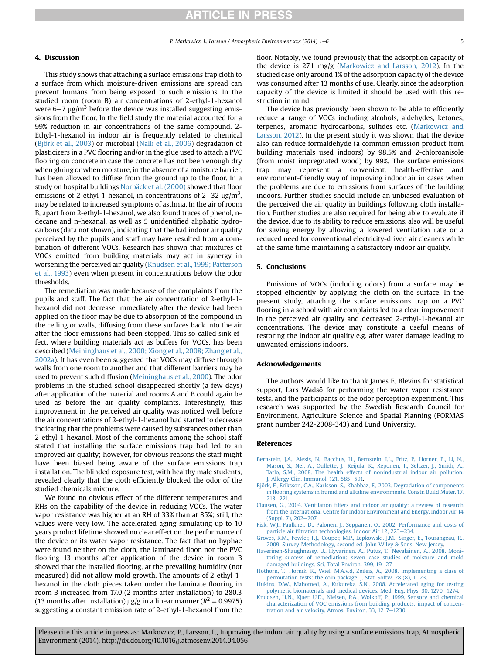#### <span id="page-4-0"></span>4. Discussion

This study shows that attaching a surface emissions trap cloth to a surface from which moisture-driven emissions are spread can prevent humans from being exposed to such emissions. In the studied room (room B) air concentrations of 2-ethyl-1-hexanol were  $6-7 \mu g/m^3$  before the device was installed suggesting emissions from the floor. In the field study the material accounted for a 99% reduction in air concentrations of the same compound. 2- Ethyl-1-hexanol in indoor air is frequently related to chemical (Björk et al., 2003) or microbial [\(Nalli et al., 2006](#page-5-0)) degradation of plasticizers in a PVC flooring and/or in the glue used to attach a PVC flooring on concrete in case the concrete has not been enough dry when gluing or when moisture, in the absence of a moisture barrier, has been allowed to diffuse from the ground up to the floor. In a study on hospital buildings [Norbäck et al. \(2000\)](#page-5-0) showed that floor emissions of 2-ethyl-1-hexanol, in concentrations of 2–32  $\mu$ g/m<sup>3</sup>, may be related to increased symptoms of asthma. In the air of room B, apart from 2-ethyl-1-hexanol, we also found traces of phenol, ndecane and n-hexanal, as well as 5 unidentified aliphatic hydrocarbons (data not shown), indicating that the bad indoor air quality perceived by the pupils and staff may have resulted from a combination of different VOCs. Research has shown that mixtures of VOCs emitted from building materials may act in synergy in worsening the perceived air quality (Knudsen et al., 1999; Patterson et al., 1993) even when present in concentrations below the odor thresholds.

The remediation was made because of the complaints from the pupils and staff. The fact that the air concentration of 2-ethyl-1 hexanol did not decrease immediately after the device had been applied on the floor may be due to absorption of the compound in the ceiling or walls, diffusing from these surfaces back into the air after the floor emissions had been stopped. This so-called sink effect, where building materials act as buffers for VOCs, has been described ([Meininghaus et al., 2000; Xiong et al., 2008; Zhang et al.,](#page-5-0) [2002a\)](#page-5-0). It has even been suggested that VOCs may diffuse through walls from one room to another and that different barriers may be used to prevent such diffusion ([Meininghaus et al., 2000](#page-5-0)). The odor problems in the studied school disappeared shortly (a few days) after application of the material and rooms A and B could again be used as before the air quality complaints. Interestingly, this improvement in the perceived air quality was noticed well before the air concentrations of 2-ethyl-1-hexanol had started to decrease indicating that the problems were caused by substances other than 2-ethyl-1-hexanol. Most of the comments among the school staff stated that installing the surface emissions trap had led to an improved air quality; however, for obvious reasons the staff might have been biased being aware of the surface emissions trap installation. The blinded exposure test, with healthy male students, revealed clearly that the cloth efficiently blocked the odor of the studied chemicals mixture.

We found no obvious effect of the different temperatures and RHs on the capability of the device in reducing VOCs. The water vapor resistance was higher at an RH of 33% than at 85%; still, the values were very low. The accelerated aging simulating up to 10 years product lifetime showed no clear effect on the performance of the device or its water vapor resistance. The fact that no hyphae were found neither on the cloth, the laminated floor, nor the PVC flooring 13 months after application of the device in room B showed that the installed flooring, at the prevailing humidity (not measured) did not allow mold growth. The amounts of 2-ethyl-1 hexanol in the cloth pieces taken under the laminate flooring in room B increased from 17.0 (2 months after installation) to 280.3 (13 months after installation)  $\mu$ g/g in a linear manner ( $R^2 = 0.9975$ ) suggesting a constant emission rate of 2-ethyl-1-hexanol from the

floor. Notably, we found previously that the adsorption capacity of the device is 27.1 mg/g [\(Markowicz and Larsson, 2012](#page-5-0)). In the studied case only around 1% of the adsorption capacity of the device was consumed after 13 months of use. Clearly, since the adsorption capacity of the device is limited it should be used with this restriction in mind.

The device has previously been shown to be able to efficiently reduce a range of VOCs including alcohols, aldehydes, ketones, terpenes, aromatic hydrocarbons, sulfides etc. ([Markowicz and](#page-5-0) [Larsson, 2012](#page-5-0)). In the present study it was shown that the device also can reduce formaldehyde (a common emission product from building materials used indoors) by 98.5% and 2-chloroanisole (from moist impregnated wood) by 99%. The surface emissions trap may represent a convenient, health-effective and environment-friendly way of improving indoor air in cases when the problems are due to emissions from surfaces of the building indoors. Further studies should include an unbiased evaluation of the perceived the air quality in buildings following cloth installation. Further studies are also required for being able to evaluate if the device, due to its ability to reduce emissions, also will be useful for saving energy by allowing a lowered ventilation rate or a reduced need for conventional electricity-driven air cleaners while at the same time maintaining a satisfactory indoor air quality.

#### 5. Conclusions

Emissions of VOCs (including odors) from a surface may be stopped efficiently by applying the cloth on the surface. In the present study, attaching the surface emissions trap on a PVC flooring in a school with air complaints led to a clear improvement in the perceived air quality and decreased 2-ethyl-1-hexanol air concentrations. The device may constitute a useful means of restoring the indoor air quality e.g. after water damage leading to unwanted emissions indoors.

#### Acknowledgements

The authors would like to thank James E. Blevins for statistical support, Lars Wadsö for performing the water vapor resistance tests, and the participants of the odor perception experiment. This research was supported by the Swedish Research Council for Environment, Agriculture Science and Spatial Planning (FORMAS grant number 242-2008-343) and Lund University.

#### References

- [Bernstein, J.A., Alexis, N., Bacchus, H., Bernstein, I.L., Fritz, P., Horner, E., Li, N.,](http://refhub.elsevier.com/S1352-2310(14)00328-8/sref1) [Mason, S., Nel, A., Oullette, J., Reijula, K., Reponen, T., Seltzer, J., Smith, A.,](http://refhub.elsevier.com/S1352-2310(14)00328-8/sref1) [Tarlo, S.M., 2008. The health effects of nonindustrial indoor air pollution.](http://refhub.elsevier.com/S1352-2310(14)00328-8/sref1) I. Allergy Clin. Immunol.  $121.585 - 591.$  $121.585 - 591.$
- [Björk, F., Eriksson, C.A., Karlsson, S., Khabbaz, F., 2003. Degradation of components](http://refhub.elsevier.com/S1352-2310(14)00328-8/sref2) in fl[ooring systems in humid and alkaline environments. Constr. Build Mater. 17,](http://refhub.elsevier.com/S1352-2310(14)00328-8/sref2)  $213 - 221$  $213 - 221$ .
- Clausen, G., 2004. Ventilation fi[lters and indoor air quality: a review of research](http://refhub.elsevier.com/S1352-2310(14)00328-8/sref3) [from the International Centre for Indoor Environment and Energy. Indoor Air 14](http://refhub.elsevier.com/S1352-2310(14)00328-8/sref3)  $(Sumbl. 7)$ ,  $202-207$ .
- [Fisk, W.J., Faulkner, D., Palonen, J., Seppanen, O., 2002. Performance and costs of](http://refhub.elsevier.com/S1352-2310(14)00328-8/sref4) particle air fi[ltration technologies. Indoor Air 12, 223](http://refhub.elsevier.com/S1352-2310(14)00328-8/sref4)-[234.](http://refhub.elsevier.com/S1352-2310(14)00328-8/sref4)
- [Groves, R.M., Fowler, F.J., Couper, M.P., Lepkowski, J.M., Singer, E., Tourangeau, R.,](http://refhub.elsevier.com/S1352-2310(14)00328-8/sref5) [2009. Survey Methodology, second ed. John Wiley & Sons, New Jersey.](http://refhub.elsevier.com/S1352-2310(14)00328-8/sref5)
- [Haverinen-Shaughnessy, U., Hyvarinen, A., Putus, T., Nevalainen, A., 2008. Moni](http://refhub.elsevier.com/S1352-2310(14)00328-8/sref6)[toring success of remediation: seven case studies of moisture and mold](http://refhub.elsevier.com/S1352-2310(14)00328-8/sref6) [damaged buildings. Sci. Total Environ. 399, 19](http://refhub.elsevier.com/S1352-2310(14)00328-8/sref6)-[27.](http://refhub.elsevier.com/S1352-2310(14)00328-8/sref6)
- [Hothorn, T., Hornik, K., Wiel, M.A.v.d, Zeileis, A., 2008. Implementing a class of](http://refhub.elsevier.com/S1352-2310(14)00328-8/sref7) permutation tests: the coin package. J. Stat. Softw. 28  $(8)$ ,  $1-23$ .
- [Hukins, D.W., Mahomed, A., Kukureka, S.N., 2008. Accelerated aging for testing](http://refhub.elsevier.com/S1352-2310(14)00328-8/sref8) [polymeric biomaterials and medical devices. Med. Eng. Phys. 30, 1270](http://refhub.elsevier.com/S1352-2310(14)00328-8/sref8)-[1274](http://refhub.elsevier.com/S1352-2310(14)00328-8/sref8).
- [Knudsen, H.N., Kjaer, U.D., Nielsen, P.A., Wolkoff, P., 1999. Sensory and chemical](http://refhub.elsevier.com/S1352-2310(14)00328-8/sref9) [characterization of VOC emissions from building products: impact of concen](http://refhub.elsevier.com/S1352-2310(14)00328-8/sref9)[tration and air velocity. Atmos. Environ. 33, 1217](http://refhub.elsevier.com/S1352-2310(14)00328-8/sref9)-[1230.](http://refhub.elsevier.com/S1352-2310(14)00328-8/sref9)